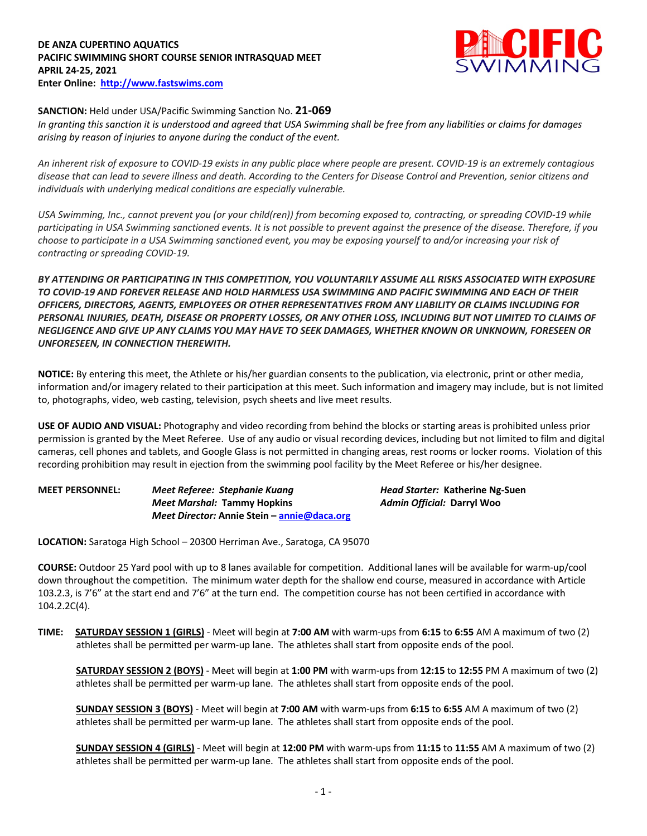## **DE ANZA CUPERTINO AQUATICS PACIFIC SWIMMING SHORT COURSE SENIOR INTRASQUAD MEET APRIL 24-25, 2021 Enter Online: http://www.fastswims.com**



## **SANCTION:** Held under USA/Pacific Swimming Sanction No. **21-069**

*In granting this sanction it is understood and agreed that USA Swimming shall be free from any liabilities or claims for damages arising by reason of injuries to anyone during the conduct of the event.* 

*An inherent risk of exposure to COVID-19 exists in any public place where people are present. COVID-19 is an extremely contagious disease that can lead to severe illness and death. According to the Centers for Disease Control and Prevention, senior citizens and individuals with underlying medical conditions are especially vulnerable.*

*USA Swimming, Inc., cannot prevent you (or your child(ren)) from becoming exposed to, contracting, or spreading COVID-19 while participating in USA Swimming sanctioned events. It is not possible to prevent against the presence of the disease. Therefore, if you choose to participate in a USA Swimming sanctioned event, you may be exposing yourself to and/or increasing your risk of contracting or spreading COVID-19.*

*BY ATTENDING OR PARTICIPATING IN THIS COMPETITION, YOU VOLUNTARILY ASSUME ALL RISKS ASSOCIATED WITH EXPOSURE TO COVID-19 AND FOREVER RELEASE AND HOLD HARMLESS USA SWIMMING AND PACIFIC SWIMMING AND EACH OF THEIR OFFICERS, DIRECTORS, AGENTS, EMPLOYEES OR OTHER REPRESENTATIVES FROM ANY LIABILITY OR CLAIMS INCLUDING FOR PERSONAL INJURIES, DEATH, DISEASE OR PROPERTY LOSSES, OR ANY OTHER LOSS, INCLUDING BUT NOT LIMITED TO CLAIMS OF NEGLIGENCE AND GIVE UP ANY CLAIMS YOU MAY HAVE TO SEEK DAMAGES, WHETHER KNOWN OR UNKNOWN, FORESEEN OR UNFORESEEN, IN CONNECTION THEREWITH.*

**NOTICE:** By entering this meet, the Athlete or his/her guardian consents to the publication, via electronic, print or other media, information and/or imagery related to their participation at this meet. Such information and imagery may include, but is not limited to, photographs, video, web casting, television, psych sheets and live meet results.

**USE OF AUDIO AND VISUAL:** Photography and video recording from behind the blocks or starting areas is prohibited unless prior permission is granted by the Meet Referee. Use of any audio or visual recording devices, including but not limited to film and digital cameras, cell phones and tablets, and Google Glass is not permitted in changing areas, rest rooms or locker rooms. Violation of this recording prohibition may result in ejection from the swimming pool facility by the Meet Referee or his/her designee.

**MEET PERSONNEL:** *Meet Referee: Stephanie Kuang Head Starter:* **Katherine Ng-Suen** *Meet Marshal:* **Tammy Hopkins** *Admin Official:* **Darryl Woo** *Meet Director:* **Annie Stein – annie@daca.org**

**LOCATION:** Saratoga High School – 20300 Herriman Ave., Saratoga, CA 95070

**COURSE:** Outdoor 25 Yard pool with up to 8 lanes available for competition. Additional lanes will be available for warm-up/cool down throughout the competition. The minimum water depth for the shallow end course, measured in accordance with Article 103.2.3, is 7'6" at the start end and 7'6" at the turn end. The competition course has not been certified in accordance with 104.2.2C(4).

**TIME: SATURDAY SESSION 1 (GIRLS)** - Meet will begin at **7:00 AM** with warm-ups from **6:15** to **6:55** AM A maximum of two (2) athletes shall be permitted per warm-up lane. The athletes shall start from opposite ends of the pool.

**SATURDAY SESSION 2 (BOYS)** - Meet will begin at **1:00 PM** with warm-ups from **12:15** to **12:55** PM A maximum of two (2) athletes shall be permitted per warm-up lane. The athletes shall start from opposite ends of the pool.

**SUNDAY SESSION 3 (BOYS)** - Meet will begin at **7:00 AM** with warm-ups from **6:15** to **6:55** AM A maximum of two (2) athletes shall be permitted per warm-up lane. The athletes shall start from opposite ends of the pool.

**SUNDAY SESSION 4 (GIRLS)** - Meet will begin at **12:00 PM** with warm-ups from **11:15** to **11:55** AM A maximum of two (2) athletes shall be permitted per warm-up lane. The athletes shall start from opposite ends of the pool.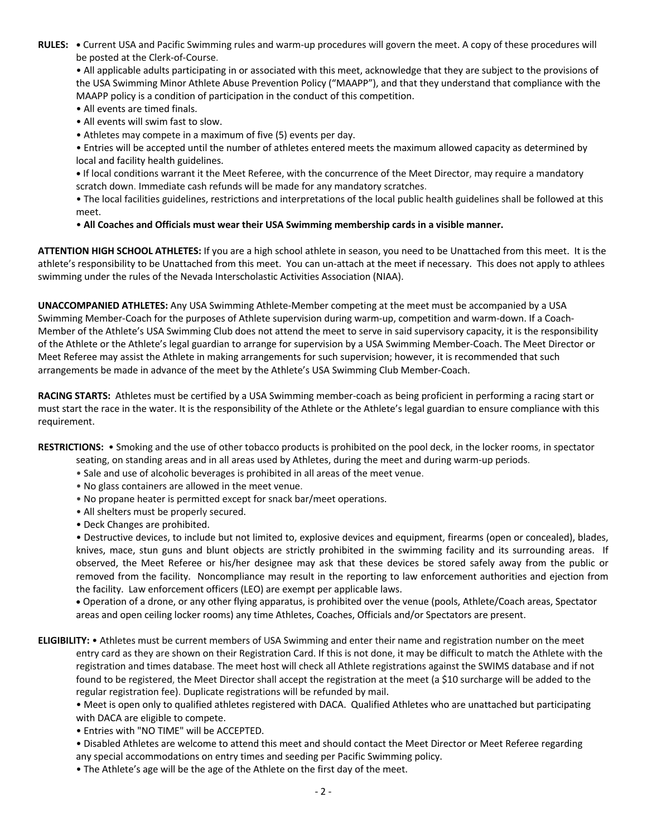**RULES: •** Current USA and Pacific Swimming rules and warm-up procedures will govern the meet. A copy of these procedures will be posted at the Clerk-of-Course.

• All applicable adults participating in or associated with this meet, acknowledge that they are subject to the provisions of the USA Swimming Minor Athlete Abuse Prevention Policy ("MAAPP"), and that they understand that compliance with the MAAPP policy is a condition of participation in the conduct of this competition.

- All events are timed finals.
- All events will swim fast to slow.
- Athletes may compete in a maximum of five (5) events per day.
- Entries will be accepted until the number of athletes entered meets the maximum allowed capacity as determined by local and facility health guidelines.
- **•** If local conditions warrant it the Meet Referee, with the concurrence of the Meet Director, may require a mandatory scratch down. Immediate cash refunds will be made for any mandatory scratches.
- The local facilities guidelines, restrictions and interpretations of the local public health guidelines shall be followed at this meet.
- **All Coaches and Officials must wear their USA Swimming membership cards in a visible manner.**

**ATTENTION HIGH SCHOOL ATHLETES:** If you are a high school athlete in season, you need to be Unattached from this meet. It is the athlete's responsibility to be Unattached from this meet. You can un-attach at the meet if necessary. This does not apply to athlees swimming under the rules of the Nevada Interscholastic Activities Association (NIAA).

**UNACCOMPANIED ATHLETES:** Any USA Swimming Athlete-Member competing at the meet must be accompanied by a USA Swimming Member-Coach for the purposes of Athlete supervision during warm-up, competition and warm-down. If a Coach-Member of the Athlete's USA Swimming Club does not attend the meet to serve in said supervisory capacity, it is the responsibility of the Athlete or the Athlete's legal guardian to arrange for supervision by a USA Swimming Member-Coach. The Meet Director or Meet Referee may assist the Athlete in making arrangements for such supervision; however, it is recommended that such arrangements be made in advance of the meet by the Athlete's USA Swimming Club Member-Coach.

**RACING STARTS:** Athletes must be certified by a USA Swimming member-coach as being proficient in performing a racing start or must start the race in the water. It is the responsibility of the Athlete or the Athlete's legal guardian to ensure compliance with this requirement.

**RESTRICTIONS:** • Smoking and the use of other tobacco products is prohibited on the pool deck, in the locker rooms, in spectator

- seating, on standing areas and in all areas used by Athletes, during the meet and during warm-up periods.
- Sale and use of alcoholic beverages is prohibited in all areas of the meet venue.
- No glass containers are allowed in the meet venue.
- No propane heater is permitted except for snack bar/meet operations.
- All shelters must be properly secured.
- Deck Changes are prohibited.

• Destructive devices, to include but not limited to, explosive devices and equipment, firearms (open or concealed), blades, knives, mace, stun guns and blunt objects are strictly prohibited in the swimming facility and its surrounding areas. If observed, the Meet Referee or his/her designee may ask that these devices be stored safely away from the public or removed from the facility. Noncompliance may result in the reporting to law enforcement authorities and ejection from the facility. Law enforcement officers (LEO) are exempt per applicable laws.

• Operation of a drone, or any other flying apparatus, is prohibited over the venue (pools, Athlete/Coach areas, Spectator areas and open ceiling locker rooms) any time Athletes, Coaches, Officials and/or Spectators are present.

**ELIGIBILITY:** • Athletes must be current members of USA Swimming and enter their name and registration number on the meet entry card as they are shown on their Registration Card. If this is not done, it may be difficult to match the Athlete with the registration and times database. The meet host will check all Athlete registrations against the SWIMS database and if not found to be registered, the Meet Director shall accept the registration at the meet (a \$10 surcharge will be added to the regular registration fee). Duplicate registrations will be refunded by mail.

• Meet is open only to qualified athletes registered with DACA. Qualified Athletes who are unattached but participating with DACA are eligible to compete.

• Entries with "NO TIME" will be ACCEPTED.

- Disabled Athletes are welcome to attend this meet and should contact the Meet Director or Meet Referee regarding any special accommodations on entry times and seeding per Pacific Swimming policy.
- The Athlete's age will be the age of the Athlete on the first day of the meet.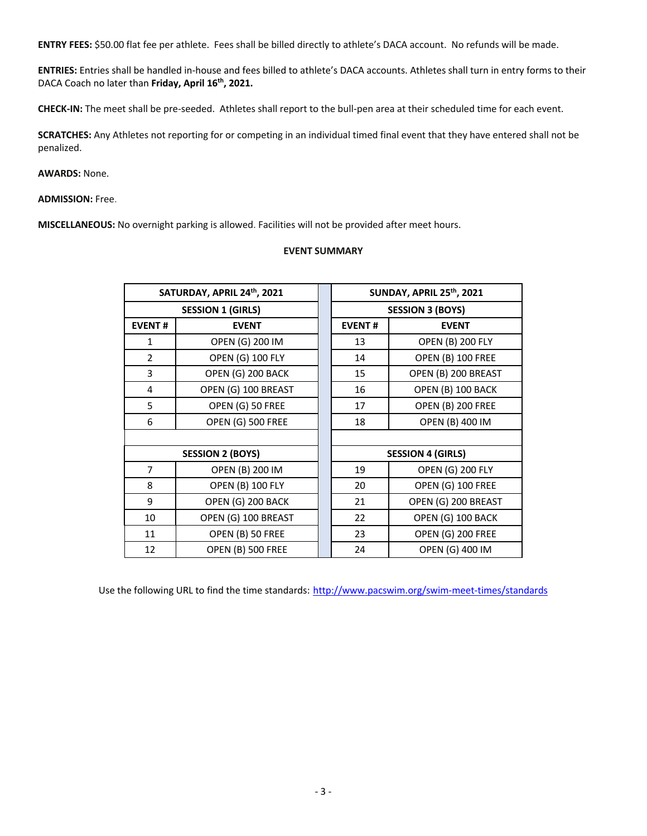**ENTRY FEES:** \$50.00 flat fee per athlete. Fees shall be billed directly to athlete's DACA account. No refunds will be made.

**ENTRIES:** Entries shall be handled in-house and fees billed to athlete's DACA accounts. Athletes shall turn in entry forms to their DACA Coach no later than Friday, April 16<sup>th</sup>, 2021.

**CHECK-IN:** The meet shall be pre-seeded. Athletes shall report to the bull-pen area at their scheduled time for each event.

**SCRATCHES:** Any Athletes not reporting for or competing in an individual timed final event that they have entered shall not be penalized.

**AWARDS:** None.

**ADMISSION:** Free.

**MISCELLANEOUS:** No overnight parking is allowed. Facilities will not be provided after meet hours.

## **EVENT SUMMARY**

|                          | SATURDAY, APRIL 24th, 2021 |  | <b>SUNDAY, APRIL 25th, 2021</b> |                          |  |  |  |  |
|--------------------------|----------------------------|--|---------------------------------|--------------------------|--|--|--|--|
| <b>SESSION 1 (GIRLS)</b> |                            |  | <b>SESSION 3 (BOYS)</b>         |                          |  |  |  |  |
| <b>EVENT#</b>            | <b>EVENT</b>               |  | <b>EVENT#</b>                   | <b>EVENT</b>             |  |  |  |  |
| $\mathbf{1}$             | OPEN (G) 200 IM            |  | 13                              | <b>OPEN (B) 200 FLY</b>  |  |  |  |  |
| $\overline{2}$           | OPEN (G) 100 FLY           |  | 14                              | OPEN (B) 100 FREE        |  |  |  |  |
| 3                        | OPEN (G) 200 BACK          |  | 15                              | OPEN (B) 200 BREAST      |  |  |  |  |
| $\overline{4}$           | OPEN (G) 100 BREAST        |  | 16                              | OPEN (B) 100 BACK        |  |  |  |  |
| 5                        | OPEN (G) 50 FREE           |  | 17                              | <b>OPEN (B) 200 FREE</b> |  |  |  |  |
| 6                        | OPEN (G) 500 FREE          |  | 18                              | OPEN (B) 400 IM          |  |  |  |  |
|                          |                            |  |                                 |                          |  |  |  |  |
|                          | <b>SESSION 2 (BOYS)</b>    |  | <b>SESSION 4 (GIRLS)</b>        |                          |  |  |  |  |
| $\overline{7}$           | OPEN (B) 200 IM            |  | 19                              | <b>OPEN (G) 200 FLY</b>  |  |  |  |  |
| 8                        | <b>OPEN (B) 100 FLY</b>    |  | 20                              | OPEN (G) 100 FREE        |  |  |  |  |
| 9                        | OPEN (G) 200 BACK          |  | 21                              | OPEN (G) 200 BREAST      |  |  |  |  |
| 10                       | OPEN (G) 100 BREAST        |  | 22                              | OPEN (G) 100 BACK        |  |  |  |  |
| 11                       | OPEN (B) 50 FREE           |  | 23                              | OPEN (G) 200 FREE        |  |  |  |  |
| 12                       | <b>OPEN (B) 500 FREE</b>   |  | 24                              | OPEN (G) 400 IM          |  |  |  |  |

Use the following URL to find the time standards: http://www.pacswim.org/swim-meet-times/standards